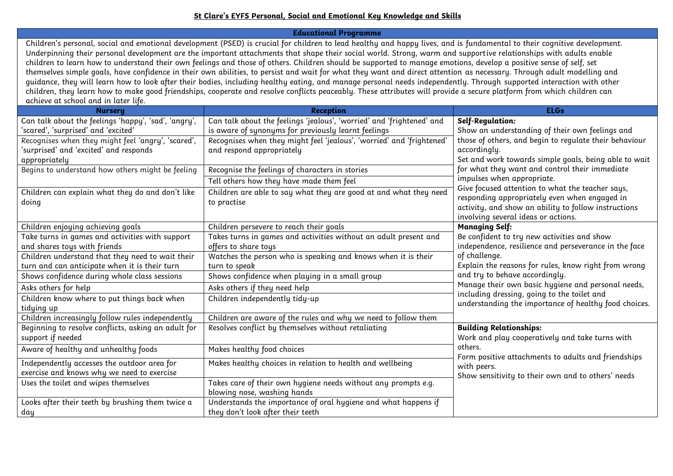## **St Clare's EYFS Personal, Social and Emotional Key Knowledge and Skills**

**Educational Programme**

Children's personal, social and emotional development (PSED) is crucial for children to lead healthy and happy lives, and is fundamental to their cognitive development. Underpinning their personal development are the important attachments that shape their social world. Strong, warm and supportive relationships with adults enable children to learn how to understand their own feelings and those of others. Children should be supported to manage emotions, develop a positive sense of self, set themselves simple goals, have confidence in their own abilities, to persist and wait for what they want and direct attention as necessary. Through adult modelling and guidance, they will learn how to look after their bodies, including healthy eating, and manage personal needs independently. Through supported interaction with other children, they learn how to make good friendships, cooperate and resolve conflicts peaceably. These attributes will provide a secure platform from which children can achieve at school and in later life.

| <b>Nursery</b>                                       | <b>Reception</b>                                                      | <b>ELGs</b>                                                                                       |
|------------------------------------------------------|-----------------------------------------------------------------------|---------------------------------------------------------------------------------------------------|
| Can talk about the feelings 'happy', 'sad', 'angry', | Can talk about the feelings 'jealous', 'worried' and 'frightened' and | Self-Regulation:                                                                                  |
| 'scared', 'surprised' and 'excited'                  | is aware of synonyms for previously learnt feelings                   | Show an understanding of their own feelings and                                                   |
| Recognises when they might feel 'angry', 'scared',   | Recognises when they might feel 'jealous', 'worried' and 'frightened' | those of others, and begin to regulate their behaviour                                            |
| 'surprised' and 'excited' and responds               | and respond appropriately                                             | accordingly.                                                                                      |
| appropriately                                        |                                                                       | Set and work towards simple goals, being able to wait                                             |
| Begins to understand how others might be feeling     | Recognise the feelings of characters in stories                       | for what they want and control their immediate                                                    |
|                                                      | Tell others how they have made them feel                              | impulses when appropriate.                                                                        |
| Children can explain what they do and don't like     | Children are able to say what they are good at and what they need     | Give focused attention to what the teacher says,                                                  |
| doing                                                | to practise                                                           | responding appropriately even when engaged in                                                     |
|                                                      |                                                                       | activity, and show an ability to follow instructions                                              |
|                                                      |                                                                       | involving several ideas or actions.                                                               |
| Children enjoying achieving goals                    | Children persevere to reach their goals                               | <b>Managing Self:</b>                                                                             |
| Take turns in games and activities with support      | Takes turns in games and activities without an adult present and      | Be confident to try new activities and show                                                       |
| and shares toys with friends                         | offers to share toys                                                  | independence, resilience and perseverance in the face                                             |
| Children understand that they need to wait their     | Watches the person who is speaking and knows when it is their         | of challenge.                                                                                     |
| turn and can anticipate when it is their turn        | turn to speak                                                         | Explain the reasons for rules, know right from wrong                                              |
| Shows confidence during whole class sessions         | Shows confidence when playing in a small group                        | and try to behave accordingly.                                                                    |
| Asks others for help                                 | Asks others if they need help                                         | Manage their own basic hygiene and personal needs,<br>including dressing, going to the toilet and |
| Children know where to put things back when          | Children independently tidy-up                                        | understanding the importance of healthy food choices.                                             |
| tidying up                                           |                                                                       |                                                                                                   |
| Children increasingly follow rules independently     | Children are aware of the rules and why we need to follow them        |                                                                                                   |
| Beginning to resolve conflicts, asking an adult for  | Resolves conflict by themselves without retaliating                   | <b>Building Relationships:</b>                                                                    |
| support if needed                                    |                                                                       | Work and play cooperatively and take turns with                                                   |
| Aware of healthy and unhealthy foods                 | Makes healthy food choices                                            | others.                                                                                           |
| Independently accesses the outdoor area for          | Makes healthy choices in relation to health and wellbeing             | Form positive attachments to adults and friendships<br>with peers.                                |
| exercise and knows why we need to exercise           |                                                                       | Show sensitivity to their own and to others' needs                                                |
| Uses the toilet and wipes themselves                 | Takes care of their own hygiene needs without any prompts e.g.        |                                                                                                   |
|                                                      | blowing nose, washing hands                                           |                                                                                                   |
| Looks after their teeth by brushing them twice a     | Understands the importance of oral hygiene and what happens if        |                                                                                                   |
| day                                                  | they don't look after their teeth                                     |                                                                                                   |